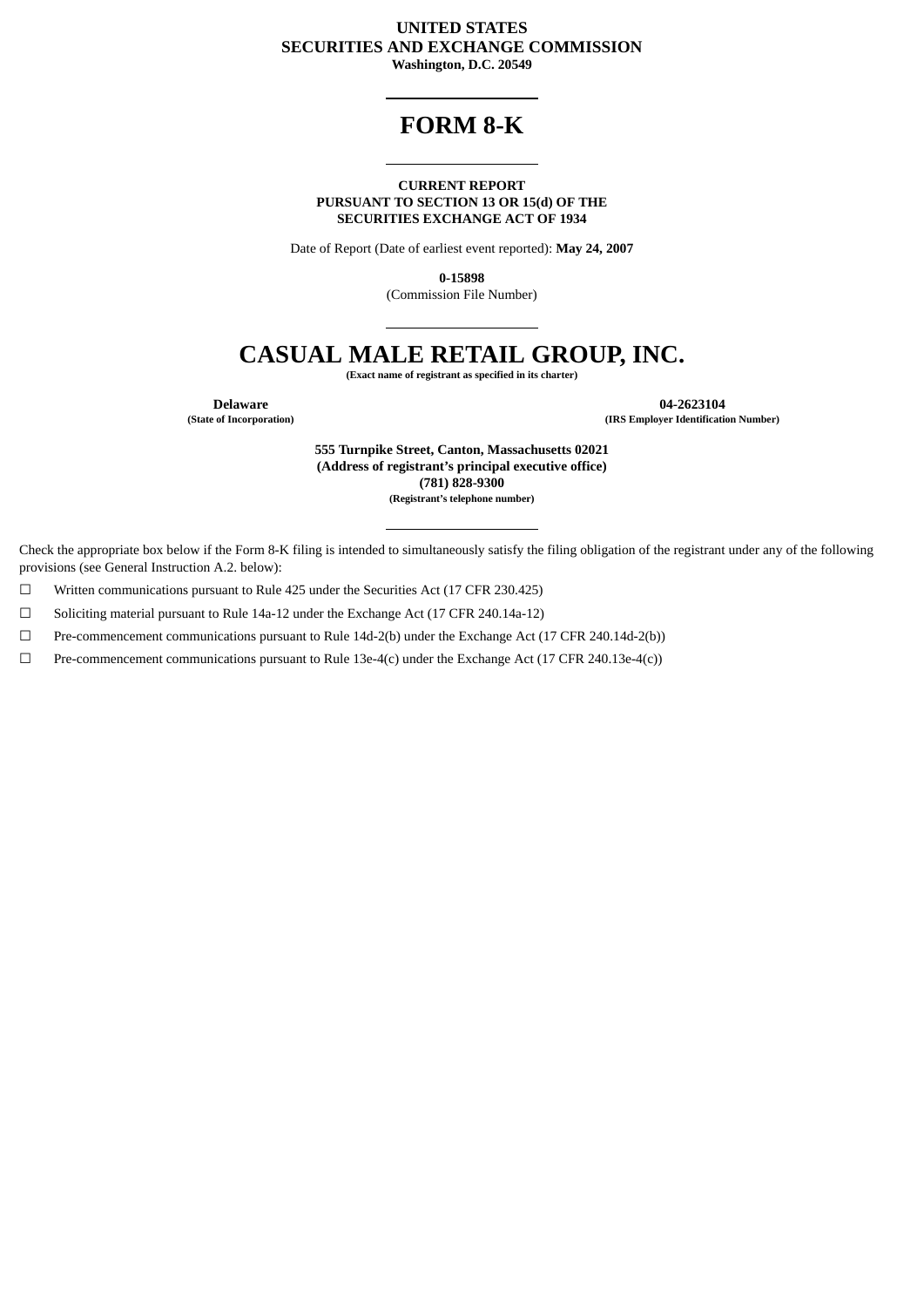### **UNITED STATES SECURITIES AND EXCHANGE COMMISSION**

**Washington, D.C. 20549**

## **FORM 8-K**

#### **CURRENT REPORT PURSUANT TO SECTION 13 OR 15(d) OF THE SECURITIES EXCHANGE ACT OF 1934**

Date of Report (Date of earliest event reported): **May 24, 2007**

**0-15898**

(Commission File Number)

# **CASUAL MALE RETAIL GROUP, INC.**

**(Exact name of registrant as specified in its charter)**

**Delaware 04-2623104**<br> **12623104**<br> **12623104**<br> **12623104**<br> **12623104**<br> **12623104 (State of Incorporation) (IRS Employer Identification Number)**

> **555 Turnpike Street, Canton, Massachusetts 02021 (Address of registrant's principal executive office) (781) 828-9300 (Registrant's telephone number)**

Check the appropriate box below if the Form 8-K filing is intended to simultaneously satisfy the filing obligation of the registrant under any of the following provisions (see General Instruction A.2. below):

☐ Written communications pursuant to Rule 425 under the Securities Act (17 CFR 230.425)

☐ Soliciting material pursuant to Rule 14a-12 under the Exchange Act (17 CFR 240.14a-12)

☐ Pre-commencement communications pursuant to Rule 14d-2(b) under the Exchange Act (17 CFR 240.14d-2(b))

☐ Pre-commencement communications pursuant to Rule 13e-4(c) under the Exchange Act (17 CFR 240.13e-4(c))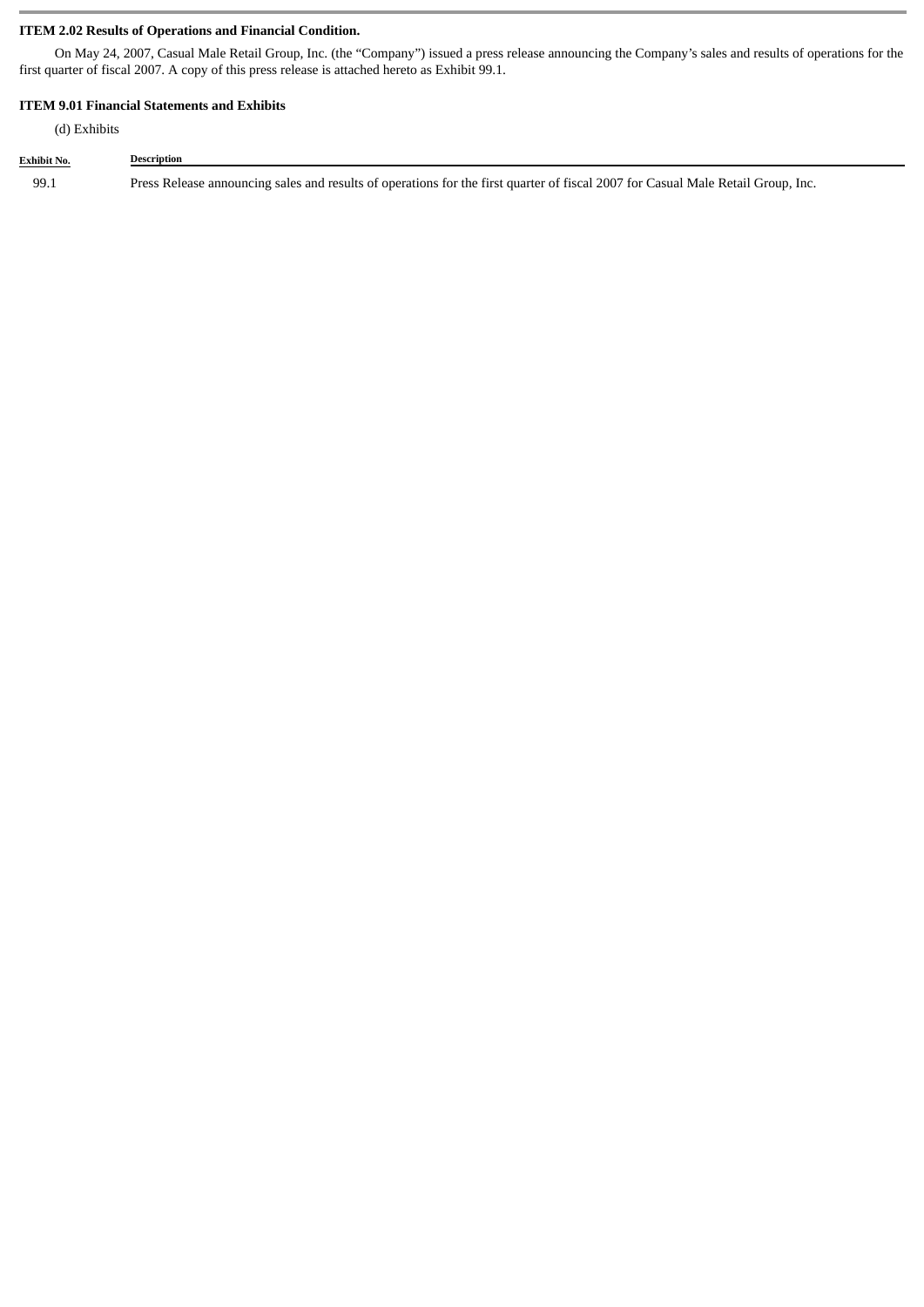#### **ITEM 2.02 Results of Operations and Financial Condition.**

On May 24, 2007, Casual Male Retail Group, Inc. (the "Company") issued a press release announcing the Company's sales and results of operations for the first quarter of fiscal 2007. A copy of this press release is attached hereto as Exhibit 99.1.

#### **ITEM 9.01 Financial Statements and Exhibits**

(d) Exhibits

**Exhibit No. Description** 99.1 Press Release announcing sales and results of operations for the first quarter of fiscal 2007 for Casual Male Retail Group, Inc.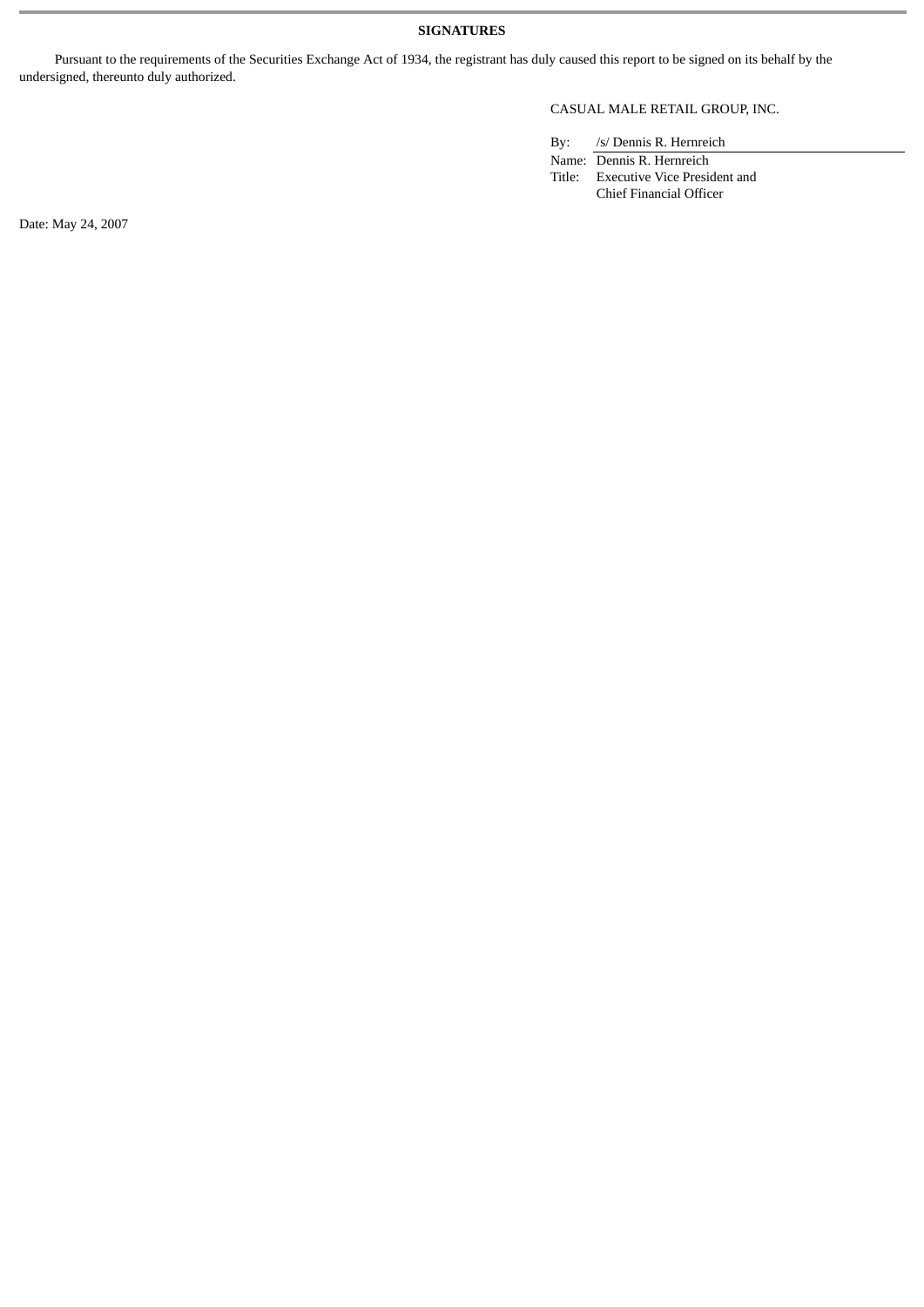#### **SIGNATURES**

Pursuant to the requirements of the Securities Exchange Act of 1934, the registrant has duly caused this report to be signed on its behalf by the undersigned, thereunto duly authorized.

#### CASUAL MALE RETAIL GROUP, INC.

By: /s/ Dennis R. Hernreich

Name: Dennis R. Hernreich Title: Executive Vice President and Chief Financial Officer

Date: May 24, 2007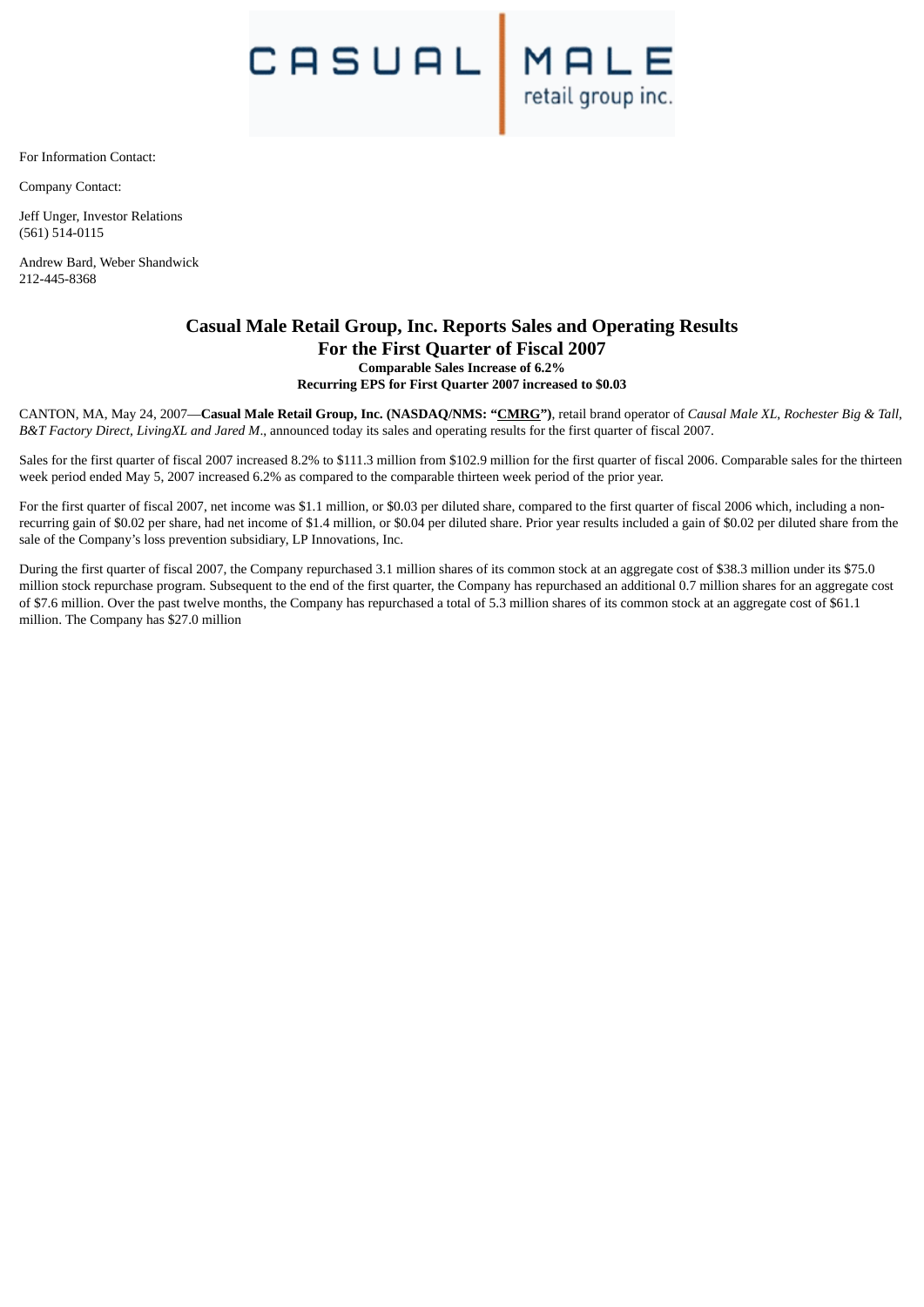$C \bigcap_{\text{retail group inc.}}$ 

For Information Contact:

Company Contact:

Jeff Unger, Investor Relations (561) 514-0115

Andrew Bard, Weber Shandwick 212-445-8368

#### **Casual Male Retail Group, Inc. Reports Sales and Operating Results For the First Quarter of Fiscal 2007 Comparable Sales Increase of 6.2% Recurring EPS for First Quarter 2007 increased to \$0.03**

CANTON, MA, May 24, 2007—**Casual Male Retail Group, Inc. (NASDAQ/NMS: "CMRG")**, retail brand operator of *Causal Male XL*, *Rochester Big & Tall*, *B&T Factory Direct, LivingXL and Jared M*., announced today its sales and operating results for the first quarter of fiscal 2007.

Sales for the first quarter of fiscal 2007 increased 8.2% to \$111.3 million from \$102.9 million for the first quarter of fiscal 2006. Comparable sales for the thirteen week period ended May 5, 2007 increased 6.2% as compared to the comparable thirteen week period of the prior year.

For the first quarter of fiscal 2007, net income was \$1.1 million, or \$0.03 per diluted share, compared to the first quarter of fiscal 2006 which, including a nonrecurring gain of \$0.02 per share, had net income of \$1.4 million, or \$0.04 per diluted share. Prior year results included a gain of \$0.02 per diluted share from the sale of the Company's loss prevention subsidiary, LP Innovations, Inc.

During the first quarter of fiscal 2007, the Company repurchased 3.1 million shares of its common stock at an aggregate cost of \$38.3 million under its \$75.0 million stock repurchase program. Subsequent to the end of the first quarter, the Company has repurchased an additional 0.7 million shares for an aggregate cost of \$7.6 million. Over the past twelve months, the Company has repurchased a total of 5.3 million shares of its common stock at an aggregate cost of \$61.1 million. The Company has \$27.0 million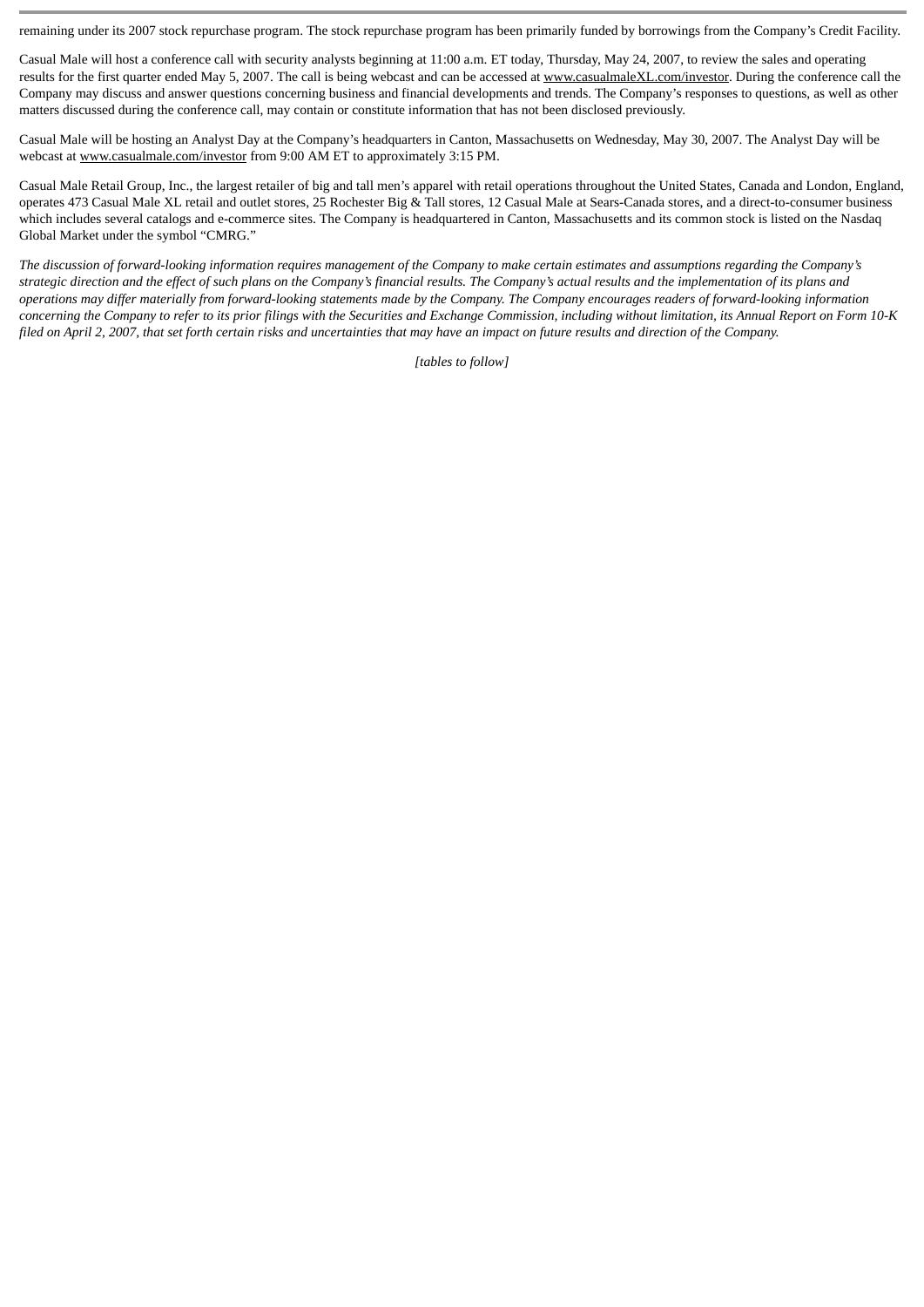remaining under its 2007 stock repurchase program. The stock repurchase program has been primarily funded by borrowings from the Company's Credit Facility.

Casual Male will host a conference call with security analysts beginning at 11:00 a.m. ET today, Thursday, May 24, 2007, to review the sales and operating results for the first quarter ended May 5, 2007. The call is being webcast and can be accessed at www.casualmaleXL.com/investor. During the conference call the Company may discuss and answer questions concerning business and financial developments and trends. The Company's responses to questions, as well as other matters discussed during the conference call, may contain or constitute information that has not been disclosed previously.

Casual Male will be hosting an Analyst Day at the Company's headquarters in Canton, Massachusetts on Wednesday, May 30, 2007. The Analyst Day will be webcast at www.casualmale.com/investor from 9:00 AM ET to approximately 3:15 PM.

Casual Male Retail Group, Inc., the largest retailer of big and tall men's apparel with retail operations throughout the United States, Canada and London, England, operates 473 Casual Male XL retail and outlet stores, 25 Rochester Big & Tall stores, 12 Casual Male at Sears-Canada stores, and a direct-to-consumer business which includes several catalogs and e-commerce sites. The Company is headquartered in Canton, Massachusetts and its common stock is listed on the Nasdaq Global Market under the symbol "CMRG."

*The discussion of forward-looking information requires management of the Company to make certain estimates and assumptions regarding the Company's strategic direction and the effect of such plans on the Company's financial results. The Company's actual results and the implementation of its plans and operations may differ materially from forward-looking statements made by the Company. The Company encourages readers of forward-looking information concerning the Company to refer to its prior filings with the Securities and Exchange Commission, including without limitation, its Annual Report on Form 10-K filed on April 2, 2007, that set forth certain risks and uncertainties that may have an impact on future results and direction of the Company.*

*[tables to follow]*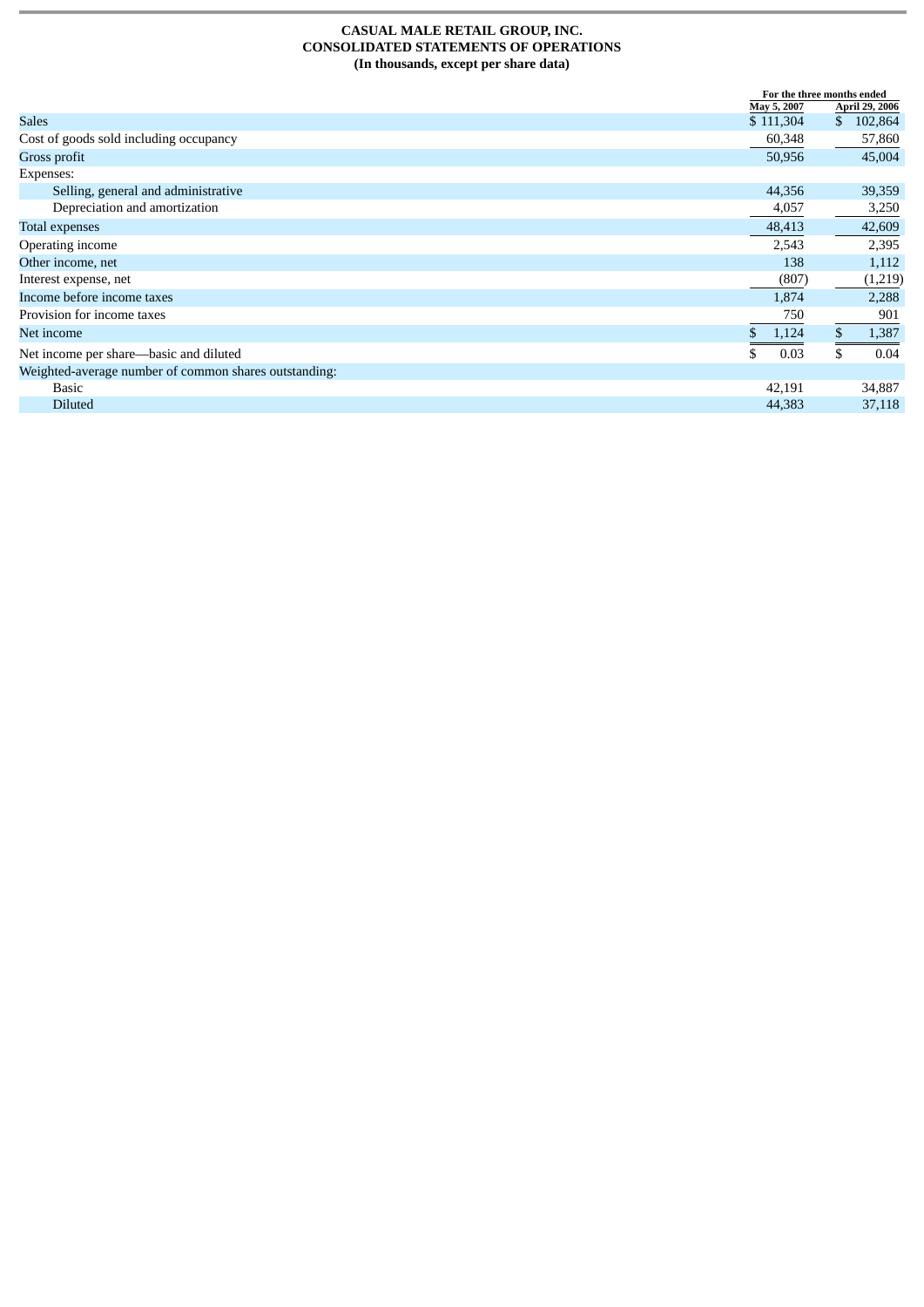#### **CASUAL MALE RETAIL GROUP, INC. CONSOLIDATED STATEMENTS OF OPERATIONS (In thousands, except per share data)**

|                                                       |             | For the three months ended |  |
|-------------------------------------------------------|-------------|----------------------------|--|
|                                                       | May 5, 2007 | <b>April 29, 2006</b>      |  |
| <b>Sales</b>                                          | \$111,304   | 102,864<br>\$              |  |
| Cost of goods sold including occupancy                | 60,348      | 57,860                     |  |
| Gross profit                                          | 50,956      | 45,004                     |  |
| Expenses:                                             |             |                            |  |
| Selling, general and administrative                   | 44,356      | 39,359                     |  |
| Depreciation and amortization                         | 4,057       | 3,250                      |  |
| Total expenses                                        | 48,413      | 42,609                     |  |
| Operating income                                      | 2,543       | 2,395                      |  |
| Other income, net                                     | 138         | 1,112                      |  |
| Interest expense, net                                 | (807)       | (1,219)                    |  |
| Income before income taxes                            | 1,874       | 2,288                      |  |
| Provision for income taxes                            | 750         | 901                        |  |
| Net income                                            | 1,124       | 1,387                      |  |
| Net income per share-basic and diluted                | 0.03        | 0.04                       |  |
| Weighted-average number of common shares outstanding: |             |                            |  |
| <b>Basic</b>                                          | 42,191      | 34,887                     |  |
| <b>Diluted</b>                                        | 44,383      | 37,118                     |  |